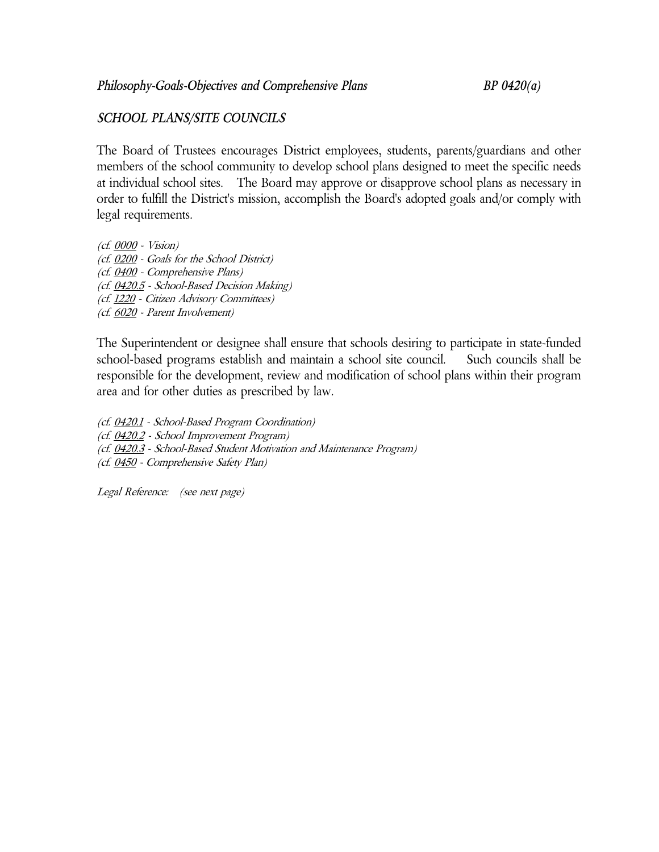# *SCHOOL PLANS/SITE COUNCILS*

The Board of Trustees encourages District employees, students, parents/guardians and other members of the school community to develop school plans designed to meet the specific needs at individual school sites. The Board may approve or disapprove school plans as necessary in order to fulfill the District's mission, accomplish the Board's adopted goals and/or comply with legal requirements.

(cf. 0000 - Vision) (cf. 0200 - Goals for the School District) (cf. 0400 - Comprehensive Plans) (cf. 0420.5 - School-Based Decision Making) (cf. 1220 - Citizen Advisory Committees) (cf. 6020 - Parent Involvement)

The Superintendent or designee shall ensure that schools desiring to participate in state-funded school-based programs establish and maintain a school site council. Such councils shall be responsible for the development, review and modification of school plans within their program area and for other duties as prescribed by law.

(cf. 0420.1 - School-Based Program Coordination) (cf. 0420.2 - School Improvement Program) (cf. 0420.3 - School-Based Student Motivation and Maintenance Program) (cf. 0450 - Comprehensive Safety Plan)

Legal Reference: (see next page)